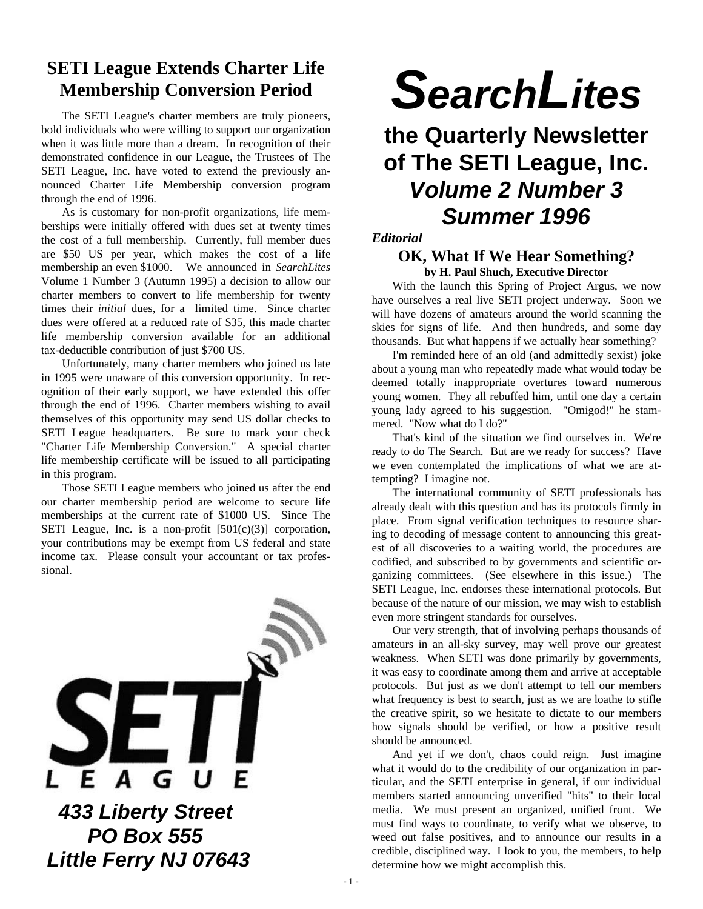### **SETI League Extends Charter Life Membership Conversion Period**

The SETI League's charter members are truly pioneers, bold individuals who were willing to support our organization when it was little more than a dream. In recognition of their demonstrated confidence in our League, the Trustees of The SETI League, Inc. have voted to extend the previously announced Charter Life Membership conversion program through the end of 1996.

As is customary for non-profit organizations, life memberships were initially offered with dues set at twenty times the cost of a full membership. Currently, full member dues are \$50 US per year, which makes the cost of a life membership an even \$1000. We announced in *SearchLites* Volume 1 Number 3 (Autumn 1995) a decision to allow our charter members to convert to life membership for twenty times their *initial* dues, for a limited time. Since charter dues were offered at a reduced rate of \$35, this made charter life membership conversion available for an additional tax-deductible contribution of just \$700 US.

Unfortunately, many charter members who joined us late in 1995 were unaware of this conversion opportunity. In recognition of their early support, we have extended this offer through the end of 1996. Charter members wishing to avail themselves of this opportunity may send US dollar checks to SETI League headquarters. Be sure to mark your check "Charter Life Membership Conversion." A special charter life membership certificate will be issued to all participating in this program.

Those SETI League members who joined us after the end our charter membership period are welcome to secure life memberships at the current rate of \$1000 US. Since The SETI League, Inc. is a non-profit [501(c)(3)] corporation, your contributions may be exempt from US federal and state income tax. Please consult your accountant or tax professional.



# *SearchLites*

### **the Quarterly Newsletter of The SETI League, Inc.** *Volume 2 Number 3 Summer 1996*

#### *Editorial*

#### **OK, What If We Hear Something? by H. Paul Shuch, Executive Director**

With the launch this Spring of Project Argus, we now have ourselves a real live SETI project underway. Soon we will have dozens of amateurs around the world scanning the skies for signs of life. And then hundreds, and some day thousands. But what happens if we actually hear something?

I'm reminded here of an old (and admittedly sexist) joke about a young man who repeatedly made what would today be deemed totally inappropriate overtures toward numerous young women. They all rebuffed him, until one day a certain young lady agreed to his suggestion. "Omigod!" he stammered. "Now what do I do?"

That's kind of the situation we find ourselves in. We're ready to do The Search. But are we ready for success? Have we even contemplated the implications of what we are attempting? I imagine not.

The international community of SETI professionals has already dealt with this question and has its protocols firmly in place. From signal verification techniques to resource sharing to decoding of message content to announcing this greatest of all discoveries to a waiting world, the procedures are codified, and subscribed to by governments and scientific organizing committees. (See elsewhere in this issue.) The SETI League, Inc. endorses these international protocols. But because of the nature of our mission, we may wish to establish even more stringent standards for ourselves.

Our very strength, that of involving perhaps thousands of amateurs in an all-sky survey, may well prove our greatest weakness. When SETI was done primarily by governments, it was easy to coordinate among them and arrive at acceptable protocols. But just as we don't attempt to tell our members what frequency is best to search, just as we are loathe to stifle the creative spirit, so we hesitate to dictate to our members how signals should be verified, or how a positive result should be announced.

And yet if we don't, chaos could reign. Just imagine what it would do to the credibility of our organization in particular, and the SETI enterprise in general, if our individual members started announcing unverified "hits" to their local media. We must present an organized, unified front. We must find ways to coordinate, to verify what we observe, to weed out false positives, and to announce our results in a credible, disciplined way. I look to you, the members, to help determine how we might accomplish this.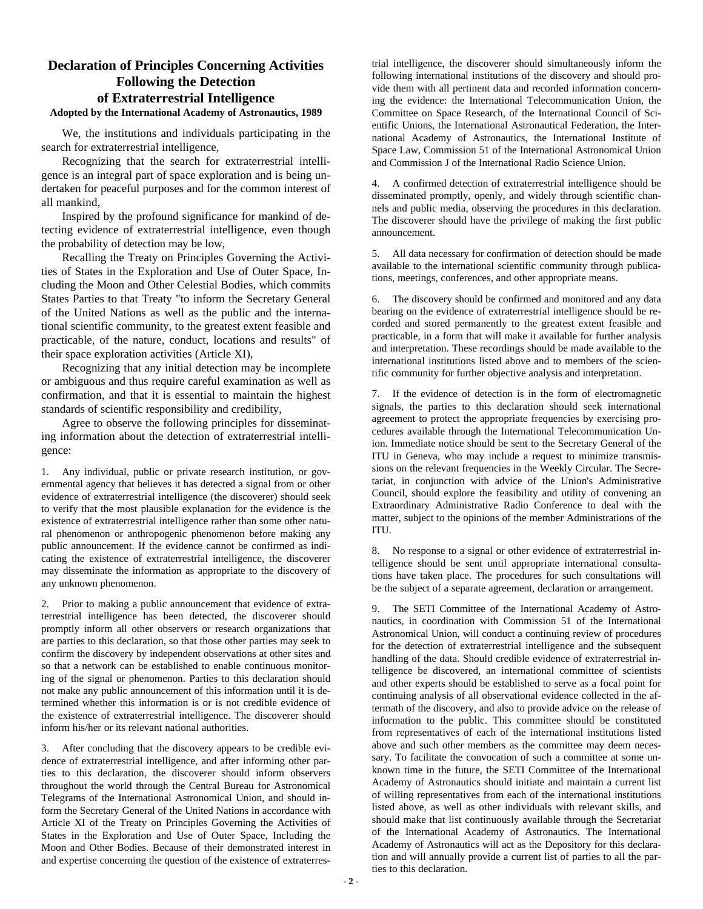#### **Declaration of Principles Concerning Activities Following the Detection of Extraterrestrial Intelligence Adopted by the International Academy of Astronautics, 1989**

We, the institutions and individuals participating in the search for extraterrestrial intelligence,

Recognizing that the search for extraterrestrial intelligence is an integral part of space exploration and is being undertaken for peaceful purposes and for the common interest of all mankind,

Inspired by the profound significance for mankind of detecting evidence of extraterrestrial intelligence, even though the probability of detection may be low,

Recalling the Treaty on Principles Governing the Activities of States in the Exploration and Use of Outer Space, Including the Moon and Other Celestial Bodies, which commits States Parties to that Treaty "to inform the Secretary General of the United Nations as well as the public and the international scientific community, to the greatest extent feasible and practicable, of the nature, conduct, locations and results" of their space exploration activities (Article XI),

Recognizing that any initial detection may be incomplete or ambiguous and thus require careful examination as well as confirmation, and that it is essential to maintain the highest standards of scientific responsibility and credibility,

Agree to observe the following principles for disseminating information about the detection of extraterrestrial intelligence:

1. Any individual, public or private research institution, or governmental agency that believes it has detected a signal from or other evidence of extraterrestrial intelligence (the discoverer) should seek to verify that the most plausible explanation for the evidence is the existence of extraterrestrial intelligence rather than some other natural phenomenon or anthropogenic phenomenon before making any public announcement. If the evidence cannot be confirmed as indicating the existence of extraterrestrial intelligence, the discoverer may disseminate the information as appropriate to the discovery of any unknown phenomenon.

2. Prior to making a public announcement that evidence of extraterrestrial intelligence has been detected, the discoverer should promptly inform all other observers or research organizations that are parties to this declaration, so that those other parties may seek to confirm the discovery by independent observations at other sites and so that a network can be established to enable continuous monitoring of the signal or phenomenon. Parties to this declaration should not make any public announcement of this information until it is determined whether this information is or is not credible evidence of the existence of extraterrestrial intelligence. The discoverer should inform his/her or its relevant national authorities.

3. After concluding that the discovery appears to be credible evidence of extraterrestrial intelligence, and after informing other parties to this declaration, the discoverer should inform observers throughout the world through the Central Bureau for Astronomical Telegrams of the International Astronomical Union, and should inform the Secretary General of the United Nations in accordance with Article XI of the Treaty on Principles Governing the Activities of States in the Exploration and Use of Outer Space, Including the Moon and Other Bodies. Because of their demonstrated interest in and expertise concerning the question of the existence of extraterrestrial intelligence, the discoverer should simultaneously inform the following international institutions of the discovery and should provide them with all pertinent data and recorded information concerning the evidence: the International Telecommunication Union, the Committee on Space Research, of the International Council of Scientific Unions, the International Astronautical Federation, the International Academy of Astronautics, the International Institute of Space Law, Commission 51 of the International Astronomical Union and Commission J of the International Radio Science Union.

4. A confirmed detection of extraterrestrial intelligence should be disseminated promptly, openly, and widely through scientific channels and public media, observing the procedures in this declaration. The discoverer should have the privilege of making the first public announcement.

5. All data necessary for confirmation of detection should be made available to the international scientific community through publications, meetings, conferences, and other appropriate means.

6. The discovery should be confirmed and monitored and any data bearing on the evidence of extraterrestrial intelligence should be recorded and stored permanently to the greatest extent feasible and practicable, in a form that will make it available for further analysis and interpretation. These recordings should be made available to the international institutions listed above and to members of the scientific community for further objective analysis and interpretation.

7. If the evidence of detection is in the form of electromagnetic signals, the parties to this declaration should seek international agreement to protect the appropriate frequencies by exercising procedures available through the International Telecommunication Union. Immediate notice should be sent to the Secretary General of the ITU in Geneva, who may include a request to minimize transmissions on the relevant frequencies in the Weekly Circular. The Secretariat, in conjunction with advice of the Union's Administrative Council, should explore the feasibility and utility of convening an Extraordinary Administrative Radio Conference to deal with the matter, subject to the opinions of the member Administrations of the ITU.

8. No response to a signal or other evidence of extraterrestrial intelligence should be sent until appropriate international consultations have taken place. The procedures for such consultations will be the subject of a separate agreement, declaration or arrangement.

9. The SETI Committee of the International Academy of Astronautics, in coordination with Commission 51 of the International Astronomical Union, will conduct a continuing review of procedures for the detection of extraterrestrial intelligence and the subsequent handling of the data. Should credible evidence of extraterrestrial intelligence be discovered, an international committee of scientists and other experts should be established to serve as a focal point for continuing analysis of all observational evidence collected in the aftermath of the discovery, and also to provide advice on the release of information to the public. This committee should be constituted from representatives of each of the international institutions listed above and such other members as the committee may deem necessary. To facilitate the convocation of such a committee at some unknown time in the future, the SETI Committee of the International Academy of Astronautics should initiate and maintain a current list of willing representatives from each of the international institutions listed above, as well as other individuals with relevant skills, and should make that list continuously available through the Secretariat of the International Academy of Astronautics. The International Academy of Astronautics will act as the Depository for this declaration and will annually provide a current list of parties to all the parties to this declaration.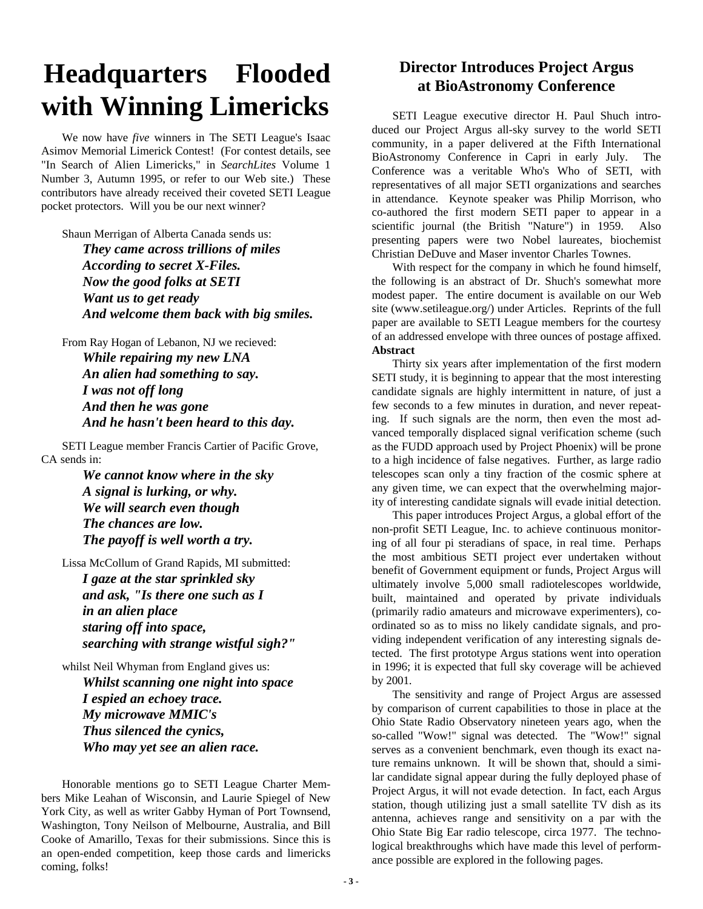### **Headquarters Flooded with Winning Limericks**

We now have *five* winners in The SETI League's Isaac Asimov Memorial Limerick Contest! (For contest details, see "In Search of Alien Limericks," in *SearchLites* Volume 1 Number 3, Autumn 1995, or refer to our Web site.) These contributors have already received their coveted SETI League pocket protectors. Will you be our next winner?

Shaun Merrigan of Alberta Canada sends us:

*They came across trillions of miles According to secret X-Files. Now the good folks at SETI Want us to get ready And welcome them back with big smiles.*

From Ray Hogan of Lebanon, NJ we recieved: *While repairing my new LNA An alien had something to say. I was not off long And then he was gone And he hasn't been heard to this day.*

SETI League member Francis Cartier of Pacific Grove, CA sends in:

> *We cannot know where in the sky A signal is lurking, or why. We will search even though The chances are low. The payoff is well worth a try.*

Lissa McCollum of Grand Rapids, MI submitted: *I gaze at the star sprinkled sky and ask, "Is there one such as I in an alien place staring off into space, searching with strange wistful sigh?"*

whilst Neil Whyman from England gives us: *Whilst scanning one night into space I espied an echoey trace. My microwave MMIC's Thus silenced the cynics, Who may yet see an alien race.*

Honorable mentions go to SETI League Charter Members Mike Leahan of Wisconsin, and Laurie Spiegel of New York City, as well as writer Gabby Hyman of Port Townsend, Washington, Tony Neilson of Melbourne, Australia, and Bill Cooke of Amarillo, Texas for their submissions. Since this is an open-ended competition, keep those cards and limericks coming, folks!

### **Director Introduces Project Argus at BioAstronomy Conference**

SETI League executive director H. Paul Shuch introduced our Project Argus all-sky survey to the world SETI community, in a paper delivered at the Fifth International BioAstronomy Conference in Capri in early July. The Conference was a veritable Who's Who of SETI, with representatives of all major SETI organizations and searches in attendance. Keynote speaker was Philip Morrison, who co-authored the first modern SETI paper to appear in a scientific journal (the British "Nature") in 1959. Also presenting papers were two Nobel laureates, biochemist Christian DeDuve and Maser inventor Charles Townes.

With respect for the company in which he found himself, the following is an abstract of Dr. Shuch's somewhat more modest paper. The entire document is available on our Web site (www.setileague.org/) under Articles. Reprints of the full paper are available to SETI League members for the courtesy of an addressed envelope with three ounces of postage affixed. **Abstract**

#### Thirty six years after implementation of the first modern SETI study, it is beginning to appear that the most interesting candidate signals are highly intermittent in nature, of just a few seconds to a few minutes in duration, and never repeating. If such signals are the norm, then even the most advanced temporally displaced signal verification scheme (such as the FUDD approach used by Project Phoenix) will be prone to a high incidence of false negatives. Further, as large radio telescopes scan only a tiny fraction of the cosmic sphere at any given time, we can expect that the overwhelming majority of interesting candidate signals will evade initial detection.

This paper introduces Project Argus, a global effort of the non-profit SETI League, Inc. to achieve continuous monitoring of all four pi steradians of space, in real time. Perhaps the most ambitious SETI project ever undertaken without benefit of Government equipment or funds, Project Argus will ultimately involve 5,000 small radiotelescopes worldwide, built, maintained and operated by private individuals (primarily radio amateurs and microwave experimenters), coordinated so as to miss no likely candidate signals, and providing independent verification of any interesting signals detected. The first prototype Argus stations went into operation in 1996; it is expected that full sky coverage will be achieved by 2001.

The sensitivity and range of Project Argus are assessed by comparison of current capabilities to those in place at the Ohio State Radio Observatory nineteen years ago, when the so-called "Wow!" signal was detected. The "Wow!" signal serves as a convenient benchmark, even though its exact nature remains unknown. It will be shown that, should a similar candidate signal appear during the fully deployed phase of Project Argus, it will not evade detection. In fact, each Argus station, though utilizing just a small satellite TV dish as its antenna, achieves range and sensitivity on a par with the Ohio State Big Ear radio telescope, circa 1977. The technological breakthroughs which have made this level of performance possible are explored in the following pages.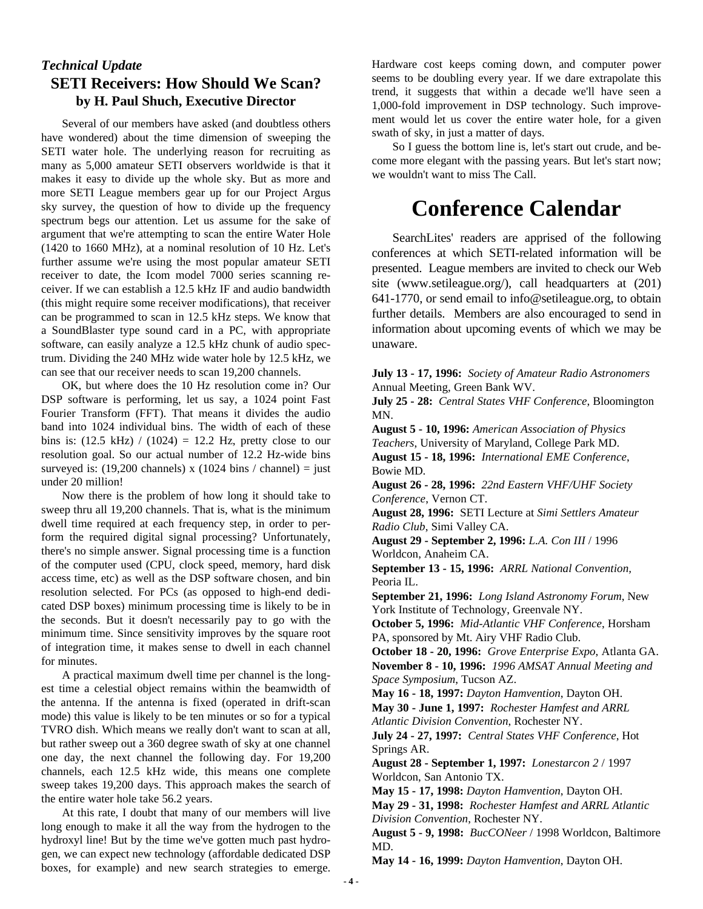### *Technical Update* **SETI Receivers: How Should We Scan? by H. Paul Shuch, Executive Director**

Several of our members have asked (and doubtless others have wondered) about the time dimension of sweeping the SETI water hole. The underlying reason for recruiting as many as 5,000 amateur SETI observers worldwide is that it makes it easy to divide up the whole sky. But as more and more SETI League members gear up for our Project Argus sky survey, the question of how to divide up the frequency spectrum begs our attention. Let us assume for the sake of argument that we're attempting to scan the entire Water Hole (1420 to 1660 MHz), at a nominal resolution of 10 Hz. Let's further assume we're using the most popular amateur SETI receiver to date, the Icom model 7000 series scanning receiver. If we can establish a 12.5 kHz IF and audio bandwidth (this might require some receiver modifications), that receiver can be programmed to scan in 12.5 kHz steps. We know that a SoundBlaster type sound card in a PC, with appropriate software, can easily analyze a 12.5 kHz chunk of audio spectrum. Dividing the 240 MHz wide water hole by 12.5 kHz, we can see that our receiver needs to scan 19,200 channels.

OK, but where does the 10 Hz resolution come in? Our DSP software is performing, let us say, a 1024 point Fast Fourier Transform (FFT). That means it divides the audio band into 1024 individual bins. The width of each of these bins is:  $(12.5 \text{ kHz}) / (1024) = 12.2 \text{ Hz}$ , pretty close to our resolution goal. So our actual number of 12.2 Hz-wide bins surveyed is:  $(19,200 \text{ channels}) \times (1024 \text{ bins} / \text{channel}) = \text{just}$ under 20 million!

Now there is the problem of how long it should take to sweep thru all 19,200 channels. That is, what is the minimum dwell time required at each frequency step, in order to perform the required digital signal processing? Unfortunately, there's no simple answer. Signal processing time is a function of the computer used (CPU, clock speed, memory, hard disk access time, etc) as well as the DSP software chosen, and bin resolution selected. For PCs (as opposed to high-end dedicated DSP boxes) minimum processing time is likely to be in the seconds. But it doesn't necessarily pay to go with the minimum time. Since sensitivity improves by the square root of integration time, it makes sense to dwell in each channel for minutes.

A practical maximum dwell time per channel is the longest time a celestial object remains within the beamwidth of the antenna. If the antenna is fixed (operated in drift-scan mode) this value is likely to be ten minutes or so for a typical TVRO dish. Which means we really don't want to scan at all, but rather sweep out a 360 degree swath of sky at one channel one day, the next channel the following day. For 19,200 channels, each 12.5 kHz wide, this means one complete sweep takes 19,200 days. This approach makes the search of the entire water hole take 56.2 years.

At this rate, I doubt that many of our members will live long enough to make it all the way from the hydrogen to the hydroxyl line! But by the time we've gotten much past hydrogen, we can expect new technology (affordable dedicated DSP boxes, for example) and new search strategies to emerge.

Hardware cost keeps coming down, and computer power seems to be doubling every year. If we dare extrapolate this trend, it suggests that within a decade we'll have seen a 1,000-fold improvement in DSP technology. Such improvement would let us cover the entire water hole, for a given swath of sky, in just a matter of days.

So I guess the bottom line is, let's start out crude, and become more elegant with the passing years. But let's start now; we wouldn't want to miss The Call.

### **Conference Calendar**

SearchLites' readers are apprised of the following conferences at which SETI-related information will be presented. League members are invited to check our Web site (www.setileague.org/), call headquarters at (201) 641-1770, or send email to info@setileague.org, to obtain further details. Members are also encouraged to send in information about upcoming events of which we may be unaware.

**July 13 - 17, 1996:** *Society of Amateur Radio Astronomers* Annual Meeting, Green Bank WV.

**July 25 - 28:** *Central States VHF Conference*, Bloomington MN.

**August 5 - 10, 1996:** *American Association of Physics Teachers*, University of Maryland, College Park MD. **August 15 - 18, 1996:** *International EME Conference*, Bowie MD.

**August 26 - 28, 1996:** *22nd Eastern VHF/UHF Society Conference*, Vernon CT.

**August 28, 1996:** SETI Lecture at *Simi Settlers Amateur Radio Club*, Simi Valley CA.

**August 29 - September 2, 1996:** *L.A. Con III* / 1996 Worldcon, Anaheim CA.

**September 13 - 15, 1996:** *ARRL National Convention,* Peoria IL.

**September 21, 1996:** *Long Island Astronomy Forum*, New York Institute of Technology, Greenvale NY.

**October 5, 1996:** *Mid-Atlantic VHF Conference*, Horsham PA, sponsored by Mt. Airy VHF Radio Club.

**October 18 - 20, 1996:** *Grove Enterprise Expo*, Atlanta GA. **November 8 - 10, 1996:** *1996 AMSAT Annual Meeting and Space Symposium*, Tucson AZ.

**May 16 - 18, 1997:** *Dayton Hamvention*, Dayton OH.

**May 30 - June 1, 1997:** *Rochester Hamfest and ARRL Atlantic Division Convention*, Rochester NY.

**July 24 - 27, 1997:** *Central States VHF Conference*, Hot Springs AR.

**August 28 - September 1, 1997:** *Lonestarcon 2* / 1997 Worldcon, San Antonio TX.

**May 15 - 17, 1998:** *Dayton Hamvention*, Dayton OH.

**May 29 - 31, 1998:** *Rochester Hamfest and ARRL Atlantic Division Convention*, Rochester NY.

**August 5 - 9, 1998:** *BucCONeer* / 1998 Worldcon, Baltimore MD.

**May 14 - 16, 1999:** *Dayton Hamvention*, Dayton OH.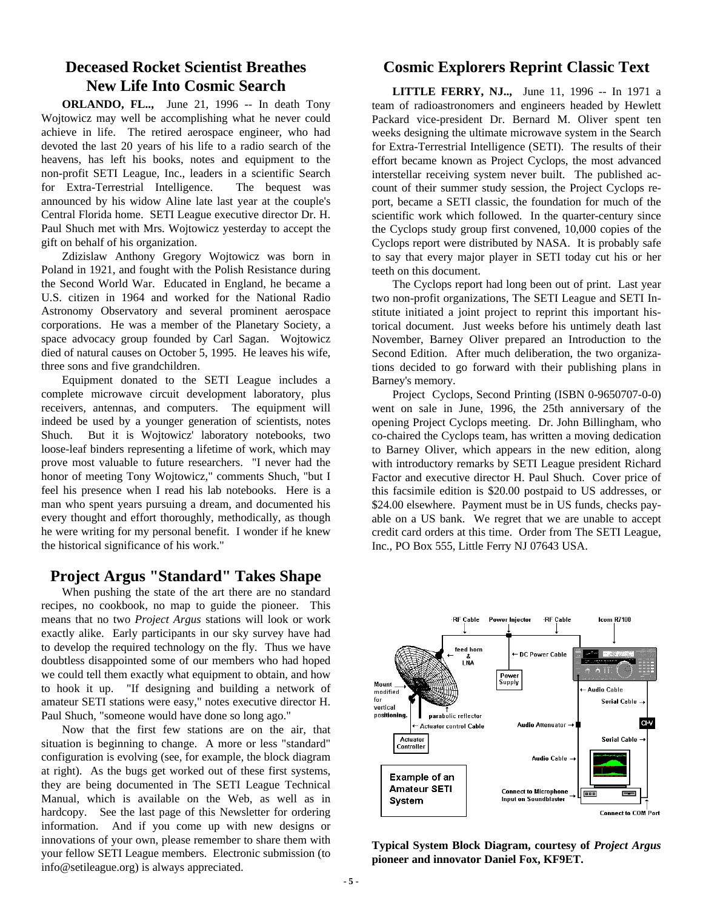### **Deceased Rocket Scientist Breathes New Life Into Cosmic Search**

**ORLANDO, FL..,** June 21, 1996 -- In death Tony Wojtowicz may well be accomplishing what he never could achieve in life. The retired aerospace engineer, who had devoted the last 20 years of his life to a radio search of the heavens, has left his books, notes and equipment to the non-profit SETI League, Inc., leaders in a scientific Search for Extra-Terrestrial Intelligence. The bequest was announced by his widow Aline late last year at the couple's Central Florida home. SETI League executive director Dr. H. Paul Shuch met with Mrs. Wojtowicz yesterday to accept the gift on behalf of his organization.

Zdizislaw Anthony Gregory Wojtowicz was born in Poland in 1921, and fought with the Polish Resistance during the Second World War. Educated in England, he became a U.S. citizen in 1964 and worked for the National Radio Astronomy Observatory and several prominent aerospace corporations. He was a member of the Planetary Society, a space advocacy group founded by Carl Sagan. Wojtowicz died of natural causes on October 5, 1995. He leaves his wife, three sons and five grandchildren.

Equipment donated to the SETI League includes a complete microwave circuit development laboratory, plus receivers, antennas, and computers. The equipment will indeed be used by a younger generation of scientists, notes Shuch. But it is Wojtowicz' laboratory notebooks, two loose-leaf binders representing a lifetime of work, which may prove most valuable to future researchers. "I never had the honor of meeting Tony Wojtowicz," comments Shuch, "but I feel his presence when I read his lab notebooks. Here is a man who spent years pursuing a dream, and documented his every thought and effort thoroughly, methodically, as though he were writing for my personal benefit. I wonder if he knew the historical significance of his work."

#### **Project Argus "Standard" Takes Shape**

When pushing the state of the art there are no standard recipes, no cookbook, no map to guide the pioneer. This means that no two *Project Argus* stations will look or work exactly alike. Early participants in our sky survey have had to develop the required technology on the fly. Thus we have doubtless disappointed some of our members who had hoped we could tell them exactly what equipment to obtain, and how to hook it up. "If designing and building a network of amateur SETI stations were easy," notes executive director H. Paul Shuch, "someone would have done so long ago."

Now that the first few stations are on the air, that situation is beginning to change. A more or less "standard" configuration is evolving (see, for example, the block diagram at right). As the bugs get worked out of these first systems, they are being documented in The SETI League Technical Manual, which is available on the Web, as well as in hardcopy. See the last page of this Newsletter for ordering information. And if you come up with new designs or innovations of your own, please remember to share them with your fellow SETI League members. Electronic submission (to info@setileague.org) is always appreciated.

#### **Cosmic Explorers Reprint Classic Text**

**LITTLE FERRY, NJ..,** June 11, 1996 -- In 1971 a team of radioastronomers and engineers headed by Hewlett Packard vice-president Dr. Bernard M. Oliver spent ten weeks designing the ultimate microwave system in the Search for Extra-Terrestrial Intelligence (SETI). The results of their effort became known as Project Cyclops, the most advanced interstellar receiving system never built. The published account of their summer study session, the Project Cyclops report, became a SETI classic, the foundation for much of the scientific work which followed. In the quarter-century since the Cyclops study group first convened, 10,000 copies of the Cyclops report were distributed by NASA. It is probably safe to say that every major player in SETI today cut his or her teeth on this document.

The Cyclops report had long been out of print. Last year two non-profit organizations, The SETI League and SETI Institute initiated a joint project to reprint this important historical document. Just weeks before his untimely death last November, Barney Oliver prepared an Introduction to the Second Edition. After much deliberation, the two organizations decided to go forward with their publishing plans in Barney's memory.

Project Cyclops, Second Printing (ISBN 0-9650707-0-0) went on sale in June, 1996, the 25th anniversary of the opening Project Cyclops meeting. Dr. John Billingham, who co-chaired the Cyclops team, has written a moving dedication to Barney Oliver, which appears in the new edition, along with introductory remarks by SETI League president Richard Factor and executive director H. Paul Shuch. Cover price of this facsimile edition is \$20.00 postpaid to US addresses, or \$24.00 elsewhere. Payment must be in US funds, checks payable on a US bank. We regret that we are unable to accept credit card orders at this time. Order from The SETI League, Inc., PO Box 555, Little Ferry NJ 07643 USA.



**Typical System Block Diagram, courtesy of** *Project Argus* **pioneer and innovator Daniel Fox, KF9ET.**